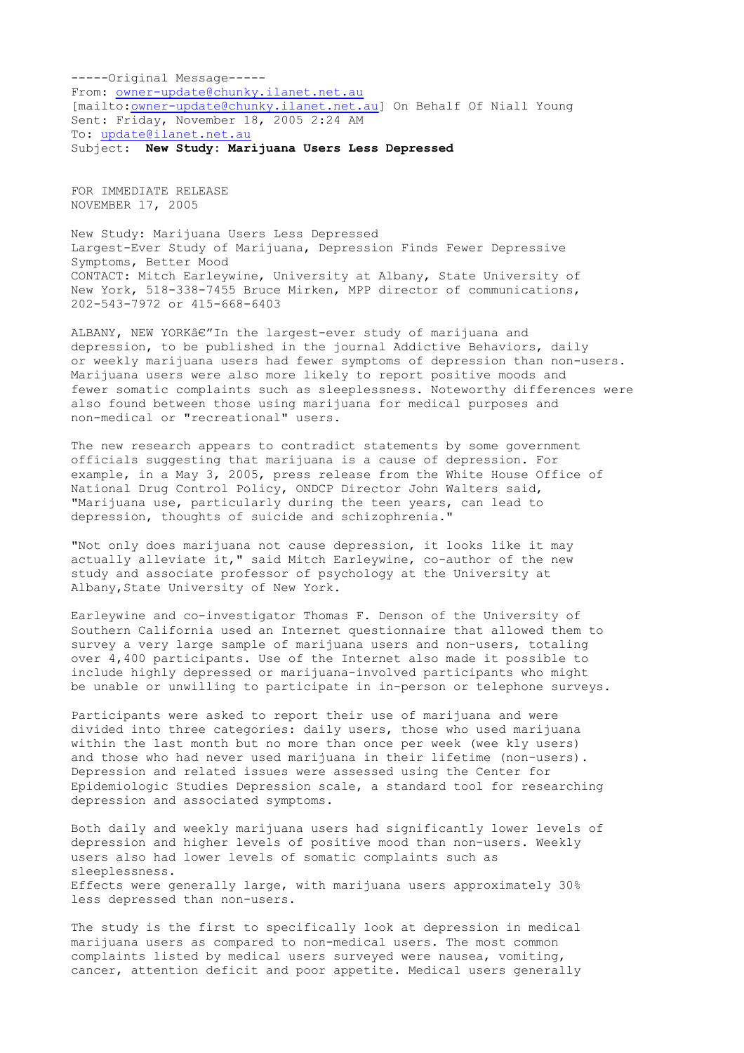-----Original Message----- From: [owner-update@chunky.ilanet.net.au](http://de.f264.mail.yahoo.com/ym/Compose?To=owner-update@chunky.ilanet.net.au&YY=83313&order=down&sort=date) [mailto: [owner-update@chunky.ilanet.net.au\]](http://de.f264.mail.yahoo.com/ym/Compose?To=owner-update@chunky.ilanet.net.au&YY=83313&order=down&sort=date) On Behalf Of Niall Young Sent: Friday, November 18, 2005 2:24 AM To: [update@ilanet.net.au](http://de.f264.mail.yahoo.com/ym/Compose?To=update@ilanet.net.au&YY=83313&order=down&sort=date) Subject: **New Study: Marijuana Users Less Depressed**

FOR IMMEDIATE RELEASE NOVEMBER 17, 2005

New Study: Marijuana Users Less Depressed Largest-Ever Study of Marijuana, Depression Finds Fewer Depressive Symptoms, Better Mood CONTACT: Mitch Earleywine, University at Albany, State University of New York, 518-338-7455 Bruce Mirken, MPP director of communications, 202-543-7972 or 415-668-6403

ALBANY, NEW YORKâ $\epsilon''$ In the largest-ever study of marijuana and depression, to be published in the journal Addictive Behaviors, daily or weekly marijuana users had fewer symptoms of depression than non-users. Marijuana users were also more likely to report positive moods and fewer somatic complaints such as sleeplessness. Noteworthy differences were also found between those using marijuana for medical purposes and non-medical or "recreational" users.

The new research appears to contradict statements by some government officials suggesting that marijuana is a cause of depression. For example, in a May 3, 2005, press release from the White House Office of National Drug Control Policy, ONDCP Director John Walters said, "Marijuana use, particularly during the teen years, can lead to depression, thoughts of suicide and schizophrenia."

"Not only does marijuana not cause depression, it looks like it may actually alleviate it," said Mitch Earleywine, co-author of the new study and associate professor of psychology at the University at Albany, State University of New York.

Earleywine and co-investigator Thomas F. Denson of the University of Southern California used an Internet questionnaire that allowed them to survey a very large sample of marijuana users and non-users, totaling over 4,400 participants. Use of the Internet also made it possible to include highly depressed or marijuana-involved participants who might be unable or unwilling to participate in in-person or telephone surveys.

Participants were asked to report their use of marijuana and were divided into three categories: daily users, those who used marijuana within the last month but no more than once per week (wee kly users) and those who had never used marijuana in their lifetime (non-users). Depression and related issues were assessed using the Center for Epidemiologic Studies Depression scale, a standard tool for researching depression and associated symptoms.

Both daily and weekly marijuana users had significantly lower levels of depression and higher levels of positive mood than non-users. Weekly users also had lower levels of somatic complaints such as sleeplessness. Effects were generally large, with marijuana users approximately 30% less depressed than non-users.

The study is the first to specifically look at depression in medical marijuana users as compared to non-medical users. The most common complaints listed by medical users surveyed were nausea, vomiting, cancer, attention deficit and poor appetite. Medical users generally